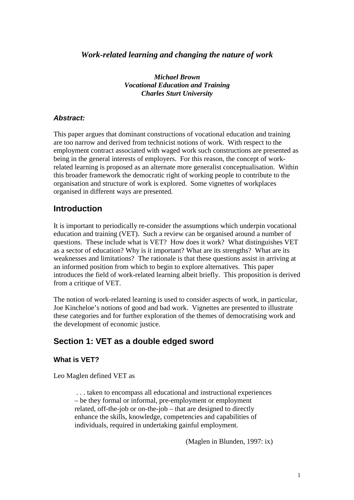# *Work-related learning and changing the nature of work*

*Michael Brown Vocational Education and Training Charles Sturt University*

#### **Abstract:**

This paper argues that dominant constructions of vocational education and training are too narrow and derived from technicist notions of work. With respect to the employment contract associated with waged work such constructions are presented as being in the general interests of employers. For this reason, the concept of workrelated learning is proposed as an alternate more generalist conceptualisation. Within this broader framework the democratic right of working people to contribute to the organisation and structure of work is explored. Some vignettes of workplaces organised in different ways are presented.

# **Introduction**

It is important to periodically re-consider the assumptions which underpin vocational education and training (VET). Such a review can be organised around a number of questions. These include what is VET? How does it work? What distinguishes VET as a sector of education? Why is it important? What are its strengths? What are its weaknesses and limitations? The rationale is that these questions assist in arriving at an informed position from which to begin to explore alternatives. This paper introduces the field of work-related learning albeit briefly. This proposition is derived from a critique of VET.

The notion of work-related learning is used to consider aspects of work, in particular, Joe Kincheloe's notions of good and bad work. Vignettes are presented to illustrate these categories and for further exploration of the themes of democratising work and the development of economic justice.

# **Section 1: VET as a double edged sword**

#### **What is VET?**

Leo Maglen defined VET as

 . . . taken to encompass all educational and instructional experiences – be they formal or informal, pre-employment or employment related, off-the-job or on-the-job – that are designed to directly enhance the skills, knowledge, competencies and capabilities of individuals, required in undertaking gainful employment.

(Maglen in Blunden, 1997: ix)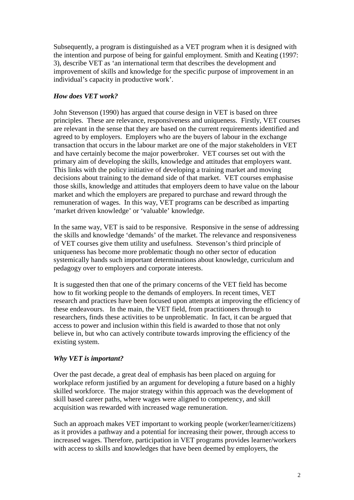Subsequently, a program is distinguished as a VET program when it is designed with the intention and purpose of being for gainful employment. Smith and Keating (1997: 3), describe VET as 'an international term that describes the development and improvement of skills and knowledge for the specific purpose of improvement in an individual's capacity in productive work'.

## *How does VET work?*

John Stevenson (1990) has argued that course design in VET is based on three principles. These are relevance, responsiveness and uniqueness. Firstly, VET courses are relevant in the sense that they are based on the current requirements identified and agreed to by employers. Employers who are the buyers of labour in the exchange transaction that occurs in the labour market are one of the major stakeholders in VET and have certainly become the major powerbroker. VET courses set out with the primary aim of developing the skills, knowledge and attitudes that employers want. This links with the policy initiative of developing a training market and moving decisions about training to the demand side of that market. VET courses emphasise those skills, knowledge and attitudes that employers deem to have value on the labour market and which the employers are prepared to purchase and reward through the remuneration of wages. In this way, VET programs can be described as imparting 'market driven knowledge' or 'valuable' knowledge.

In the same way, VET is said to be responsive. Responsive in the sense of addressing the skills and knowledge 'demands' of the market. The relevance and responsiveness of VET courses give them utility and usefulness. Stevenson's third principle of uniqueness has become more problematic though no other sector of education systemically hands such important determinations about knowledge, curriculum and pedagogy over to employers and corporate interests.

It is suggested then that one of the primary concerns of the VET field has become how to fit working people to the demands of employers. In recent times, VET research and practices have been focused upon attempts at improving the efficiency of these endeavours. In the main, the VET field, from practitioners through to researchers, finds these activities to be unproblematic. In fact, it can be argued that access to power and inclusion within this field is awarded to those that not only believe in, but who can actively contribute towards improving the efficiency of the existing system.

## *Why VET is important?*

Over the past decade, a great deal of emphasis has been placed on arguing for workplace reform justified by an argument for developing a future based on a highly skilled workforce. The major strategy within this approach was the development of skill based career paths, where wages were aligned to competency, and skill acquisition was rewarded with increased wage remuneration.

Such an approach makes VET important to working people (worker/learner/citizens) as it provides a pathway and a potential for increasing their power, through access to increased wages. Therefore, participation in VET programs provides learner/workers with access to skills and knowledges that have been deemed by employers, the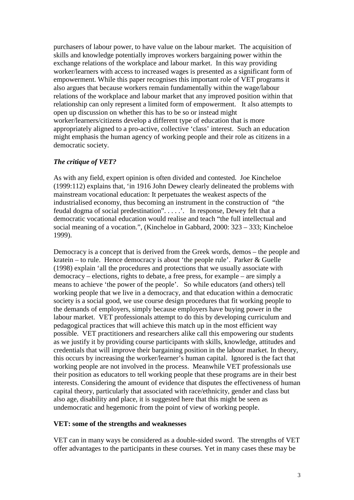purchasers of labour power, to have value on the labour market. The acquisition of skills and knowledge potentially improves workers bargaining power within the exchange relations of the workplace and labour market. In this way providing worker/learners with access to increased wages is presented as a significant form of empowerment. While this paper recognises this important role of VET programs it also argues that because workers remain fundamentally within the wage/labour relations of the workplace and labour market that any improved position within that relationship can only represent a limited form of empowerment. It also attempts to open up discussion on whether this has to be so or instead might worker/learners/citizens develop a different type of education that is more appropriately aligned to a pro-active, collective 'class' interest. Such an education might emphasis the human agency of working people and their role as citizens in a democratic society.

#### *The critique of VET?*

As with any field, expert opinion is often divided and contested. Joe Kincheloe (1999:112) explains that, 'in 1916 John Dewey clearly delineated the problems with mainstream vocational education: It perpetuates the weakest aspects of the industrialised economy, thus becoming an instrument in the construction of "the feudal dogma of social predestination". . . . .'. In response, Dewey felt that a democratic vocational education would realise and teach "the full intellectual and social meaning of a vocation.", (Kincheloe in Gabbard, 2000: 323 – 333; Kincheloe 1999).

Democracy is a concept that is derived from the Greek words, demos – the people and kratein – to rule. Hence democracy is about 'the people rule'. Parker & Guelle (1998) explain 'all the procedures and protections that we usually associate with democracy – elections, rights to debate, a free press, for example – are simply a means to achieve 'the power of the people'. So while educators (and others) tell working people that we live in a democracy, and that education within a democratic society is a social good, we use course design procedures that fit working people to the demands of employers, simply because employers have buying power in the labour market. VET professionals attempt to do this by developing curriculum and pedagogical practices that will achieve this match up in the most efficient way possible. VET practitioners and researchers alike call this empowering our students as we justify it by providing course participants with skills, knowledge, attitudes and credentials that will improve their bargaining position in the labour market. In theory, this occurs by increasing the worker/learner's human capital. Ignored is the fact that working people are not involved in the process. Meanwhile VET professionals use their position as educators to tell working people that these programs are in their best interests. Considering the amount of evidence that disputes the effectiveness of human capital theory, particularly that associated with race/ethnicity, gender and class but also age, disability and place, it is suggested here that this might be seen as undemocratic and hegemonic from the point of view of working people.

#### **VET: some of the strengths and weaknesses**

VET can in many ways be considered as a double-sided sword. The strengths of VET offer advantages to the participants in these courses. Yet in many cases these may be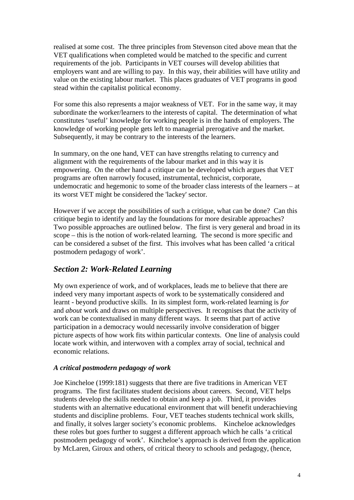realised at some cost. The three principles from Stevenson cited above mean that the VET qualifications when completed would be matched to the specific and current requirements of the job. Participants in VET courses will develop abilities that employers want and are willing to pay. In this way, their abilities will have utility and value on the existing labour market. This places graduates of VET programs in good stead within the capitalist political economy.

For some this also represents a major weakness of VET. For in the same way, it may subordinate the worker/learners to the interests of capital. The determination of what constitutes 'useful' knowledge for working people is in the hands of employers. The knowledge of working people gets left to managerial prerogative and the market. Subsequently, it may be contrary to the interests of the learners.

In summary, on the one hand, VET can have strengths relating to currency and alignment with the requirements of the labour market and in this way it is empowering. On the other hand a critique can be developed which argues that VET programs are often narrowly focused, instrumental, technicist, corporate, undemocratic and hegemonic to some of the broader class interests of the learners – at its worst VET might be considered the 'lackey' sector.

However if we accept the possibilities of such a critique, what can be done? Can this critique begin to identify and lay the foundations for more desirable approaches? Two possible approaches are outlined below. The first is very general and broad in its scope – this is the notion of work-related learning. The second is more specific and can be considered a subset of the first. This involves what has been called 'a critical postmodern pedagogy of work'.

# *Section 2: Work-Related Learning*

My own experience of work, and of workplaces, leads me to believe that there are indeed very many important aspects of work to be systematically considered and learnt - beyond productive skills. In its simplest form, work-related learning is *for* and *about* work and draws on multiple perspectives. It recognises that the activity of work can be contextualised in many different ways. It seems that part of active participation in a democracy would necessarily involve consideration of bigger picture aspects of how work fits within particular contexts. One line of analysis could locate work within, and interwoven with a complex array of social, technical and economic relations.

## *A critical postmodern pedagogy of work*

Joe Kincheloe (1999:181) suggests that there are five traditions in American VET programs. The first facilitates student decisions about careers. Second, VET helps students develop the skills needed to obtain and keep a job. Third, it provides students with an alternative educational environment that will benefit underachieving students and discipline problems. Four, VET teaches students technical work skills, and finally, it solves larger society's economic problems. Kincheloe acknowledges these roles but goes further to suggest a different approach which he calls 'a critical postmodern pedagogy of work'. Kincheloe's approach is derived from the application by McLaren, Giroux and others, of critical theory to schools and pedagogy, (hence,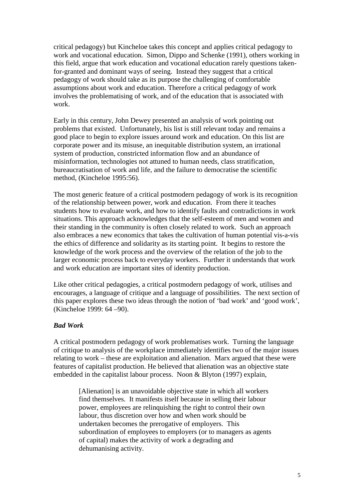critical pedagogy) but Kincheloe takes this concept and applies critical pedagogy to work and vocational education. Simon, Dippo and Schenke (1991), others working in this field, argue that work education and vocational education rarely questions takenfor-granted and dominant ways of seeing. Instead they suggest that a critical pedagogy of work should take as its purpose the challenging of comfortable assumptions about work and education. Therefore a critical pedagogy of work involves the problematising of work, and of the education that is associated with work.

Early in this century, John Dewey presented an analysis of work pointing out problems that existed. Unfortunately, his list is still relevant today and remains a good place to begin to explore issues around work and education. On this list are corporate power and its misuse, an inequitable distribution system, an irrational system of production, constricted information flow and an abundance of misinformation, technologies not attuned to human needs, class stratification, bureaucratisation of work and life, and the failure to democratise the scientific method, (Kincheloe 1995:56).

The most generic feature of a critical postmodern pedagogy of work is its recognition of the relationship between power, work and education. From there it teaches students how to evaluate work, and how to identify faults and contradictions in work situations. This approach acknowledges that the self-esteem of men and women and their standing in the community is often closely related to work. Such an approach also embraces a new economics that takes the cultivation of human potential vis-a-vis the ethics of difference and solidarity as its starting point. It begins to restore the knowledge of the work process and the overview of the relation of the job to the larger economic process back to everyday workers. Further it understands that work and work education are important sites of identity production.

Like other critical pedagogies, a critical postmodern pedagogy of work, utilises and encourages, a language of critique and a language of possibilities. The next section of this paper explores these two ideas through the notion of 'bad work' and 'good work', (Kincheloe 1999: 64 –90).

#### *Bad Work*

A critical postmodern pedagogy of work problematises work. Turning the language of critique to analysis of the workplace immediately identifies two of the major issues relating to work – these are exploitation and alienation. Marx argued that these were features of capitalist production. He believed that alienation was an objective state embedded in the capitalist labour process. Noon & Blyton (1997) explain,

> [Alienation] is an unavoidable objective state in which all workers find themselves. It manifests itself because in selling their labour power, employees are relinquishing the right to control their own labour, thus discretion over how and when work should be undertaken becomes the prerogative of employers. This subordination of employees to employers (or to managers as agents of capital) makes the activity of work a degrading and dehumanising activity.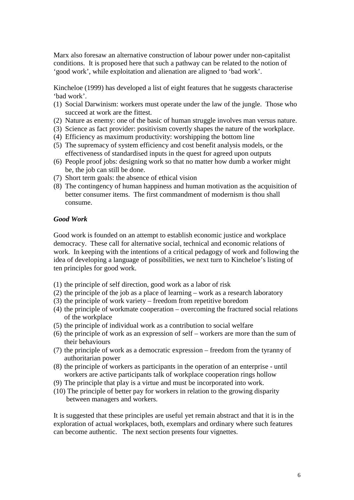Marx also foresaw an alternative construction of labour power under non-capitalist conditions. It is proposed here that such a pathway can be related to the notion of 'good work', while exploitation and alienation are aligned to 'bad work'.

Kincheloe (1999) has developed a list of eight features that he suggests characterise 'bad work'.

- (1) Social Darwinism: workers must operate under the law of the jungle. Those who succeed at work are the fittest.
- (2) Nature as enemy: one of the basic of human struggle involves man versus nature.
- (3) Science as fact provider: positivism covertly shapes the nature of the workplace.
- (4) Efficiency as maximum productivity: worshipping the bottom line
- (5) The supremacy of system efficiency and cost benefit analysis models, or the effectiveness of standardised inputs in the quest for agreed upon outputs
- (6) People proof jobs: designing work so that no matter how dumb a worker might be, the job can still be done.
- (7) Short term goals: the absence of ethical vision
- (8) The contingency of human happiness and human motivation as the acquisition of better consumer items. The first commandment of modernism is thou shall consume.

#### *Good Work*

Good work is founded on an attempt to establish economic justice and workplace democracy. These call for alternative social, technical and economic relations of work. In keeping with the intentions of a critical pedagogy of work and following the idea of developing a language of possibilities, we next turn to Kincheloe's listing of ten principles for good work.

- (1) the principle of self direction, good work as a labor of risk
- (2) the principle of the job as a place of learning work as a research laboratory
- (3) the principle of work variety freedom from repetitive boredom
- (4) the principle of workmate cooperation overcoming the fractured social relations of the workplace
- (5) the principle of individual work as a contribution to social welfare
- (6) the principle of work as an expression of self workers are more than the sum of their behaviours
- (7) the principle of work as a democratic expression freedom from the tyranny of authoritarian power
- (8) the principle of workers as participants in the operation of an enterprise until workers are active participants talk of workplace cooperation rings hollow
- (9) The principle that play is a virtue and must be incorporated into work.
- (10) The principle of better pay for workers in relation to the growing disparity between managers and workers.

It is suggested that these principles are useful yet remain abstract and that it is in the exploration of actual workplaces, both, exemplars and ordinary where such features can become authentic. The next section presents four vignettes.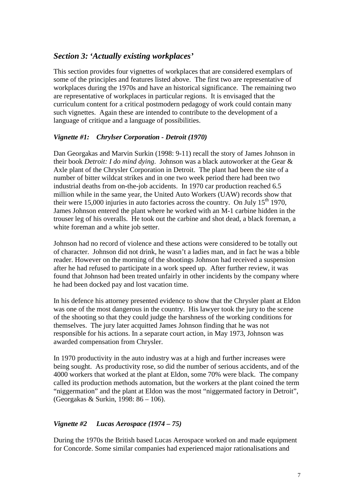# *Section 3: 'Actually existing workplaces'*

This section provides four vignettes of workplaces that are considered exemplars of some of the principles and features listed above. The first two are representative of workplaces during the 1970s and have an historical significance. The remaining two are representative of workplaces in particular regions. It is envisaged that the curriculum content for a critical postmodern pedagogy of work could contain many such vignettes. Again these are intended to contribute to the development of a language of critique and a language of possibilities.

## *Vignette #1: Chrylser Corporation - Detroit (1970)*

Dan Georgakas and Marvin Surkin (1998: 9-11) recall the story of James Johnson in their book *Detroit: I do mind dying*. Johnson was a black autoworker at the Gear & Axle plant of the Chrysler Corporation in Detroit. The plant had been the site of a number of bitter wildcat strikes and in one two week period there had been two industrial deaths from on-the-job accidents. In 1970 car production reached 6.5 million while in the same year, the United Auto Workers (UAW) records show that their were 15,000 injuries in auto factories across the country. On July  $15<sup>th</sup> 1970$ , James Johnson entered the plant where he worked with an M-1 carbine hidden in the trouser leg of his overalls. He took out the carbine and shot dead, a black foreman, a white foreman and a white job setter.

Johnson had no record of violence and these actions were considered to be totally out of character. Johnson did not drink, he wasn't a ladies man, and in fact he was a bible reader. However on the morning of the shootings Johnson had received a suspension after he had refused to participate in a work speed up. After further review, it was found that Johnson had been treated unfairly in other incidents by the company where he had been docked pay and lost vacation time.

In his defence his attorney presented evidence to show that the Chrysler plant at Eldon was one of the most dangerous in the country. His lawyer took the jury to the scene of the shooting so that they could judge the harshness of the working conditions for themselves. The jury later acquitted James Johnson finding that he was not responsible for his actions. In a separate court action, in May 1973, Johnson was awarded compensation from Chrysler.

In 1970 productivity in the auto industry was at a high and further increases were being sought. As productivity rose, so did the number of serious accidents, and of the 4000 workers that worked at the plant at Eldon, some 70% were black. The company called its production methods automation, but the workers at the plant coined the term "niggermation" and the plant at Eldon was the most "niggermated factory in Detroit", (Georgakas & Surkin, 1998: 86 – 106).

## *Vignette #2 Lucas Aerospace (1974 – 75)*

During the 1970s the British based Lucas Aerospace worked on and made equipment for Concorde. Some similar companies had experienced major rationalisations and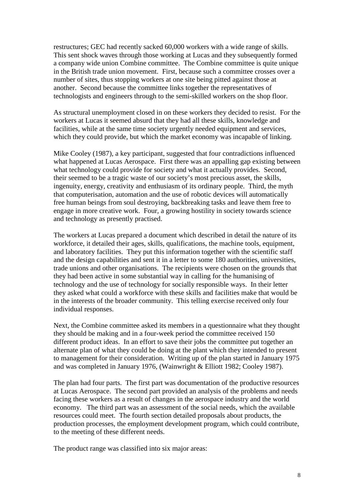restructures; GEC had recently sacked 60,000 workers with a wide range of skills. This sent shock waves through those working at Lucas and they subsequently formed a company wide union Combine committee. The Combine committee is quite unique in the British trade union movement. First, because such a committee crosses over a number of sites, thus stopping workers at one site being pitted against those at another. Second because the committee links together the representatives of technologists and engineers through to the semi-skilled workers on the shop floor.

As structural unemployment closed in on these workers they decided to resist. For the workers at Lucas it seemed absurd that they had all these skills, knowledge and facilities, while at the same time society urgently needed equipment and services, which they could provide, but which the market economy was incapable of linking.

Mike Cooley (1987), a key participant, suggested that four contradictions influenced what happened at Lucas Aerospace. First there was an appalling gap existing between what technology could provide for society and what it actually provides. Second, their seemed to be a tragic waste of our society's most precious asset, the skills, ingenuity, energy, creativity and enthusiasm of its ordinary people. Third, the myth that computerisation, automation and the use of robotic devices will automatically free human beings from soul destroying, backbreaking tasks and leave them free to engage in more creative work. Four, a growing hostility in society towards science and technology as presently practised.

The workers at Lucas prepared a document which described in detail the nature of its workforce, it detailed their ages, skills, qualifications, the machine tools, equipment, and laboratory facilities. They put this information together with the scientific staff and the design capabilities and sent it in a letter to some 180 authorities, universities, trade unions and other organisations. The recipients were chosen on the grounds that they had been active in some substantial way in calling for the humanising of technology and the use of technology for socially responsible ways. In their letter they asked what could a workforce with these skills and facilities make that would be in the interests of the broader community. This telling exercise received only four individual responses.

Next, the Combine committee asked its members in a questionnaire what they thought they should be making and in a four-week period the committee received 150 different product ideas. In an effort to save their jobs the committee put together an alternate plan of what they could be doing at the plant which they intended to present to management for their consideration. Writing up of the plan started in January 1975 and was completed in January 1976, (Wainwright & Elliott 1982; Cooley 1987).

The plan had four parts. The first part was documentation of the productive resources at Lucas Aerospace. The second part provided an analysis of the problems and needs facing these workers as a result of changes in the aerospace industry and the world economy. The third part was an assessment of the social needs, which the available resources could meet. The fourth section detailed proposals about products, the production processes, the employment development program, which could contribute, to the meeting of these different needs.

The product range was classified into six major areas: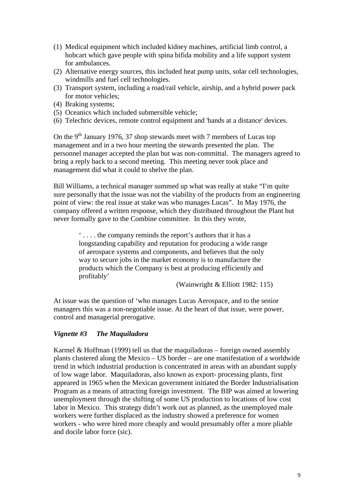- (1) Medical equipment which included kidney machines, artificial limb control, a hobcart which gave people with spina bifida mobility and a life support system for ambulances.
- (2) Alternative energy sources, this included heat pump units, solar cell technologies, windmills and fuel cell technologies.
- (3) Transport system, including a road/rail vehicle, airship, and a hybrid power pack for motor vehicles;
- (4) Braking systems;
- (5) Oceanics which included submersible vehicle;
- (6) Telechric devices, remote control equipment and 'hands at a distance' devices.

On the 9<sup>th</sup> January 1976, 37 shop stewards meet with 7 members of Lucas top management and in a two hour meeting the stewards presented the plan. The personnel manager accepted the plan but was non-committal. The managers agreed to bring a reply back to a second meeting. This meeting never took place and management did what it could to shelve the plan.

Bill Williams, a technical manager summed up what was really at stake "I'm quite sure personally that the issue was not the viability of the products from an engineering point of view: the real issue at stake was who manages Lucas". In May 1976, the company offered a written response, which they distributed throughout the Plant but never formally gave to the Combine committee. In this they wrote,

> ' . . . . the company reminds the report's authors that it has a longstanding capability and reputation for producing a wide range of aerospace systems and components, and believes that the only way to secure jobs in the market economy is to manufacture the products which the Company is best at producing efficiently and profitably'

(Wainwright & Elliott 1982: 115)

At issue was the question of 'who manages Lucas Aerospace, and to the senior managers this was a non-negotiable issue. At the heart of that issue, were power, control and managerial prerogative.

## *Vignette #3 The Maquiladora*

Karmel & Hoffman (1999) tell us that the maquiladoras – foreign owned assembly plants clustered along the Mexico – US border – are one manifestation of a worldwide trend in which industrial production is concentrated in areas with an abundant supply of low wage labor. Maquiladoras, also known as export- processing plants, first appeared in 1965 when the Mexican government initiated the Border Industrialisation Program as a means of attracting foreign investment. The BIP was aimed at lowering unemployment through the shifting of some US production to locations of low cost labor in Mexico. This strategy didn't work out as planned, as the unemployed male workers were further displaced as the industry showed a preference for women workers - who were hired more cheaply and would presumably offer a more pliable and docile labor force (sic).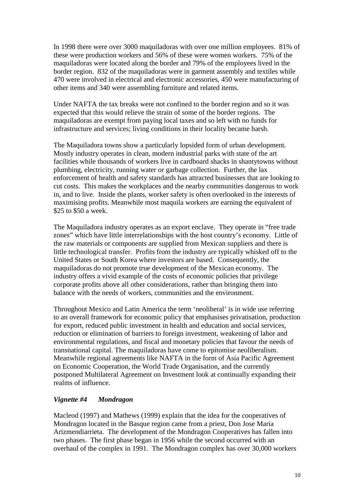In 1998 there were over 3000 maquiladoras with over one million employees. 81% of these were production workers and 56% of these were women workers. 75% of the maquiladoras were located along the border and 79% of the employees lived in the border region. 832 of the maquiladoras were in garment assembly and textiles while 470 were involved in electrical and electronic accessories, 450 were manufacturing of other items and 340 were assembling furniture and related items.

Under NAFTA the tax breaks were not confined to the border region and so it was expected that this would relieve the strain of some of the border regions. The maquiladoras are exempt from paying local taxes and so left with no funds for infrastructure and services; living conditions in their locality became harsh.

The Maquiladora towns show a particularly lopsided form of urban development. Mostly industry operates in clean, modern industrial parks with state of the art facilities while thousands of workers live in cardboard shacks in shantytowns without plumbing, electricity, running water or garbage collection. Further, the lax enforcement of health and safety standards has attracted businesses that are looking to cut costs. This makes the workplaces and the nearby communities dangerous to work in, and to live. Inside the plants, worker safety is often overlooked in the interests of maximising profits. Meanwhile most maquila workers are earning the equivalent of \$25 to \$50 a week.

The Maquiladora industry operates as an export enclave. They operate in "free trade zones" which have little interrelationships with the host country's economy. Little of the raw materials or components are supplied from Mexican suppliers and there is little technological transfer. Profits from the industry are typically whisked off to the United States or South Korea where investors are based. Consequently, the maquiladoras do not promote true development of the Mexican economy. The industry offers a vivid example of the costs of economic policies that privilege corporate profits above all other considerations, rather than bringing them into balance with the needs of workers, communities and the environment.

Throughout Mexico and Latin America the term 'neoliberal' is in wide use referring to an overall framework for economic policy that emphasises privatisation, production for export, reduced public investment in health and education and social services, reduction or elimination of barriers to foreign investment, weakening of labor and environmental regulations, and fiscal and monetary policies that favour the needs of transnational capital. The maquiladoras have come to epitomise neoliberalism. Meanwhile regional agreements like NAFTA in the form of Asia Pacific Agreement on Economic Cooperation, the World Trade Organisation, and the currently postponed Multilateral Agreement on Investment look at continually expanding their realms of influence.

## *Vignette #4 Mondragon*

Macleod (1997) and Mathews (1999) explain that the idea for the cooperatives of Mondragon located in the Basque region came from a priest, Don Jose Maria Arizmendiarrieta. The development of the Mondragon Cooperatives has fallen into two phases. The first phase began in 1956 while the second occurred with an overhaul of the complex in 1991. The Mondragon complex has over 30,000 workers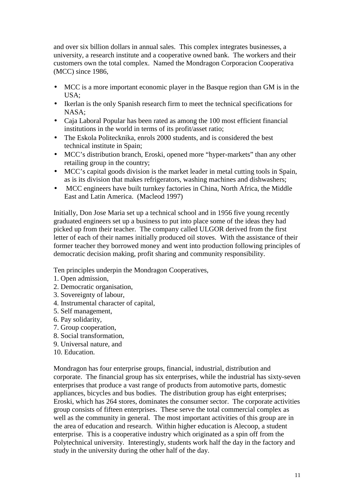and over six billion dollars in annual sales. This complex integrates businesses, a university, a research institute and a cooperative owned bank. The workers and their customers own the total complex. Named the Mondragon Corporacion Cooperativa (MCC) since 1986,

- MCC is a more important economic player in the Basque region than GM is in the USA;
- Ikerlan is the only Spanish research firm to meet the technical specifications for NASA;
- Caja Laboral Popular has been rated as among the 100 most efficient financial institutions in the world in terms of its profit/asset ratio;
- The Eskola Politecknika, enrols 2000 students, and is considered the best technical institute in Spain;
- MCC's distribution branch, Eroski, opened more "hyper-markets" than any other retailing group in the country;
- MCC's capital goods division is the market leader in metal cutting tools in Spain, as is its division that makes refrigerators, washing machines and dishwashers;
- MCC engineers have built turnkey factories in China, North Africa, the Middle East and Latin America. (Macleod 1997)

Initially, Don Jose Maria set up a technical school and in 1956 five young recently graduated engineers set up a business to put into place some of the ideas they had picked up from their teacher. The company called ULGOR derived from the first letter of each of their names initially produced oil stoves. With the assistance of their former teacher they borrowed money and went into production following principles of democratic decision making, profit sharing and community responsibility.

Ten principles underpin the Mondragon Cooperatives,

- 1. Open admission,
- 2. Democratic organisation,
- 3. Sovereignty of labour,
- 4. Instrumental character of capital,
- 5. Self management,
- 6. Pay solidarity,
- 7. Group cooperation,
- 8. Social transformation,
- 9. Universal nature, and
- 10. Education.

Mondragon has four enterprise groups, financial, industrial, distribution and corporate. The financial group has six enterprises, while the industrial has sixty-seven enterprises that produce a vast range of products from automotive parts, domestic appliances, bicycles and bus bodies. The distribution group has eight enterprises; Eroski, which has 264 stores, dominates the consumer sector. The corporate activities group consists of fifteen enterprises. These serve the total commercial complex as well as the community in general. The most important activities of this group are in the area of education and research. Within higher education is Alecoop, a student enterprise. This is a cooperative industry which originated as a spin off from the Polytechnical university. Interestingly, students work half the day in the factory and study in the university during the other half of the day.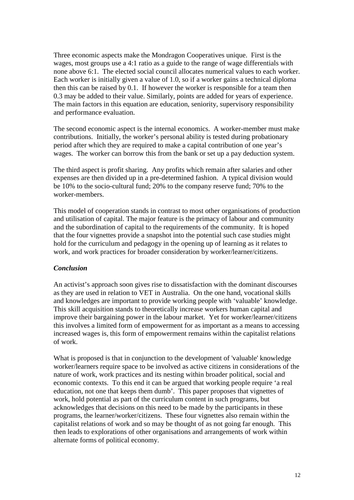Three economic aspects make the Mondragon Cooperatives unique. First is the wages, most groups use a 4:1 ratio as a guide to the range of wage differentials with none above 6:1. The elected social council allocates numerical values to each worker. Each worker is initially given a value of 1.0, so if a worker gains a technical diploma then this can be raised by 0.1. If however the worker is responsible for a team then 0.3 may be added to their value. Similarly, points are added for years of experience. The main factors in this equation are education, seniority, supervisory responsibility and performance evaluation.

The second economic aspect is the internal economics. A worker-member must make contributions. Initially, the worker's personal ability is tested during probationary period after which they are required to make a capital contribution of one year's wages. The worker can borrow this from the bank or set up a pay deduction system.

The third aspect is profit sharing. Any profits which remain after salaries and other expenses are then divided up in a pre-determined fashion. A typical division would be 10% to the socio-cultural fund; 20% to the company reserve fund; 70% to the worker-members.

This model of cooperation stands in contrast to most other organisations of production and utilisation of capital. The major feature is the primacy of labour and community and the subordination of capital to the requirements of the community. It is hoped that the four vignettes provide a snapshot into the potential such case studies might hold for the curriculum and pedagogy in the opening up of learning as it relates to work, and work practices for broader consideration by worker/learner/citizens.

#### *Conclusion*

An activist's approach soon gives rise to dissatisfaction with the dominant discourses as they are used in relation to VET in Australia. On the one hand, vocational skills and knowledges are important to provide working people with 'valuable' knowledge. This skill acquisition stands to theoretically increase workers human capital and improve their bargaining power in the labour market. Yet for worker/learner/citizens this involves a limited form of empowerment for as important as a means to accessing increased wages is, this form of empowerment remains within the capitalist relations of work.

What is proposed is that in conjunction to the development of 'valuable' knowledge worker/learners require space to be involved as active citizens in considerations of the nature of work, work practices and its nesting within broader political, social and economic contexts. To this end it can be argued that working people require 'a real education, not one that keeps them dumb'. This paper proposes that vignettes of work, hold potential as part of the curriculum content in such programs, but acknowledges that decisions on this need to be made by the participants in these programs, the learner/worker/citizens. These four vignettes also remain within the capitalist relations of work and so may be thought of as not going far enough. This then leads to explorations of other organisations and arrangements of work within alternate forms of political economy.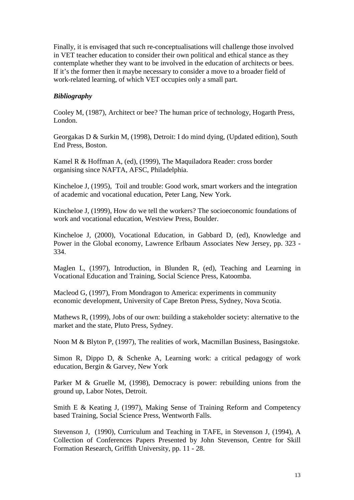Finally, it is envisaged that such re-conceptualisations will challenge those involved in VET teacher education to consider their own political and ethical stance as they contemplate whether they want to be involved in the education of architects or bees. If it's the former then it maybe necessary to consider a move to a broader field of work-related learning, of which VET occupies only a small part.

## *Bibliography*

Cooley M, (1987), Architect or bee? The human price of technology, Hogarth Press, London.

Georgakas D & Surkin M, (1998), Detroit: I do mind dying, (Updated edition), South End Press, Boston.

Kamel R & Hoffman A, (ed), (1999), The Maquiladora Reader: cross border organising since NAFTA, AFSC, Philadelphia.

Kincheloe J, (1995), Toil and trouble: Good work, smart workers and the integration of academic and vocational education, Peter Lang, New York.

Kincheloe J, (1999), How do we tell the workers? The socioeconomic foundations of work and vocational education, Westview Press, Boulder.

Kincheloe J, (2000), Vocational Education, in Gabbard D, (ed), Knowledge and Power in the Global economy, Lawrence Erlbaum Associates New Jersey, pp. 323 - 334.

Maglen L, (1997), Introduction, in Blunden R, (ed), Teaching and Learning in Vocational Education and Training, Social Science Press, Katoomba.

Macleod G, (1997), From Mondragon to America: experiments in community economic development, University of Cape Breton Press, Sydney, Nova Scotia.

Mathews R, (1999), Jobs of our own: building a stakeholder society: alternative to the market and the state, Pluto Press, Sydney.

Noon M & Blyton P, (1997), The realities of work, Macmillan Business, Basingstoke.

Simon R, Dippo D, & Schenke A, Learning work: a critical pedagogy of work education, Bergin & Garvey, New York

Parker M & Gruelle M, (1998), Democracy is power: rebuilding unions from the ground up, Labor Notes, Detroit.

Smith E & Keating J, (1997), Making Sense of Training Reform and Competency based Training, Social Science Press, Wentworth Falls.

Stevenson J, (1990), Curriculum and Teaching in TAFE, in Stevenson J, (1994), A Collection of Conferences Papers Presented by John Stevenson, Centre for Skill Formation Research, Griffith University, pp. 11 - 28.